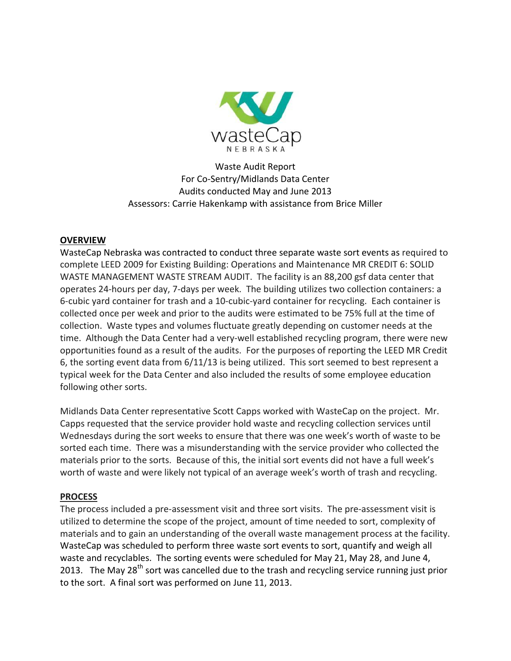

Waste Audit Report For Co-Sentry/Midlands Data Center Audits conducted May and June 2013 Assessors: Carrie Hakenkamp with assistance from Brice Miller

# **OVERVIEW**

WasteCap Nebraska was contracted to conduct three separate waste sort events as required to complete LEED 2009 for Existing Building: Operations and Maintenance MR CREDIT 6: SOLID WASTE MANAGEMENT WASTE STREAM AUDIT. The facility is an 88,200 gsf data center that operates 24-hours per day, 7-days per week. The building utilizes two collection containers: a 6-cubic yard container for trash and a 10-cubic-yard container for recycling. Each container is collected once per week and prior to the audits were estimated to be 75% full at the time of collection. Waste types and volumes fluctuate greatly depending on customer needs at the time. Although the Data Center had a very-well established recycling program, there were new opportunities found as a result of the audits. For the purposes of reporting the LEED MR Credit 6, the sorting event data from 6/11/13 is being utilized. This sort seemed to best represent a typical week for the Data Center and also included the results of some employee education following other sorts.

Midlands Data Center representative Scott Capps worked with WasteCap on the project. Mr. Capps requested that the service provider hold waste and recycling collection services until Wednesdays during the sort weeks to ensure that there was one week's worth of waste to be sorted each time. There was a misunderstanding with the service provider who collected the materials prior to the sorts. Because of this, the initial sort events did not have a full week's worth of waste and were likely not typical of an average week's worth of trash and recycling.

### **PROCESS**

The process included a pre-assessment visit and three sort visits. The pre-assessment visit is utilized to determine the scope of the project, amount of time needed to sort, complexity of materials and to gain an understanding of the overall waste management process at the facility. WasteCap was scheduled to perform three waste sort events to sort, quantify and weigh all waste and recyclables. The sorting events were scheduled for May 21, May 28, and June 4, 2013. The May 28<sup>th</sup> sort was cancelled due to the trash and recycling service running just prior to the sort. A final sort was performed on June 11, 2013.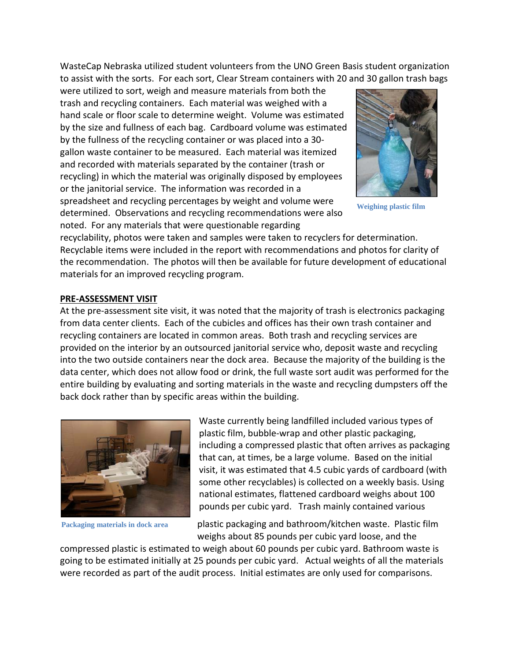WasteCap Nebraska utilized student volunteers from the UNO Green Basis student organization to assist with the sorts. For each sort, Clear Stream containers with 20 and 30 gallon trash bags

were utilized to sort, weigh and measure materials from both the trash and recycling containers. Each material was weighed with a hand scale or floor scale to determine weight. Volume was estimated by the size and fullness of each bag. Cardboard volume was estimated by the fullness of the recycling container or was placed into a 30 gallon waste container to be measured. Each material was itemized and recorded with materials separated by the container (trash or recycling) in which the material was originally disposed by employees or the janitorial service. The information was recorded in a spreadsheet and recycling percentages by weight and volume were determined. Observations and recycling recommendations were also noted. For any materials that were questionable regarding



**Weighing plastic film** 

recyclability, photos were taken and samples were taken to recyclers for determination. Recyclable items were included in the report with recommendations and photos for clarity of the recommendation. The photos will then be available for future development of educational materials for an improved recycling program.

#### **PRE-ASSESSMENT VISIT**

At the pre-assessment site visit, it was noted that the majority of trash is electronics packaging from data center clients. Each of the cubicles and offices has their own trash container and recycling containers are located in common areas. Both trash and recycling services are provided on the interior by an outsourced janitorial service who, deposit waste and recycling into the two outside containers near the dock area. Because the majority of the building is the data center, which does not allow food or drink, the full waste sort audit was performed for the entire building by evaluating and sorting materials in the waste and recycling dumpsters off the back dock rather than by specific areas within the building.



**Packaging materials in dock area** 

Waste currently being landfilled included various types of plastic film, bubble-wrap and other plastic packaging, including a compressed plastic that often arrives as packaging that can, at times, be a large volume. Based on the initial visit, it was estimated that 4.5 cubic yards of cardboard (with some other recyclables) is collected on a weekly basis. Using national estimates, flattened cardboard weighs about 100 pounds per cubic yard. Trash mainly contained various

plastic packaging and bathroom/kitchen waste. Plastic film weighs about 85 pounds per cubic yard loose, and the

compressed plastic is estimated to weigh about 60 pounds per cubic yard. Bathroom waste is going to be estimated initially at 25 pounds per cubic yard. Actual weights of all the materials were recorded as part of the audit process. Initial estimates are only used for comparisons.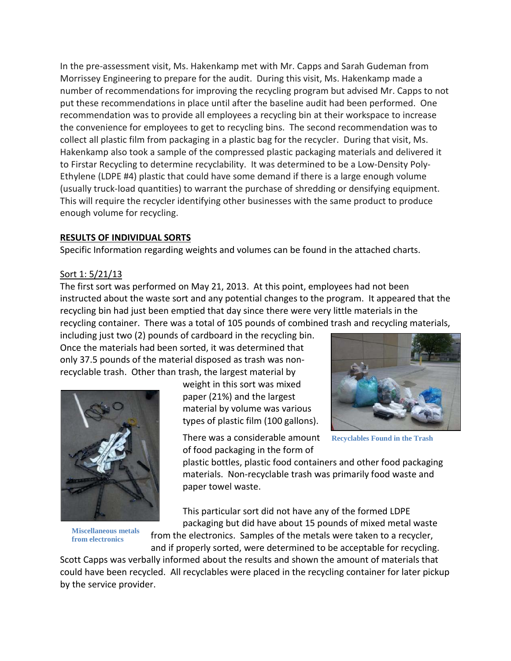In the pre-assessment visit, Ms. Hakenkamp met with Mr. Capps and Sarah Gudeman from Morrissey Engineering to prepare for the audit. During this visit, Ms. Hakenkamp made a number of recommendations for improving the recycling program but advised Mr. Capps to not put these recommendations in place until after the baseline audit had been performed. One recommendation was to provide all employees a recycling bin at their workspace to increase the convenience for employees to get to recycling bins. The second recommendation was to collect all plastic film from packaging in a plastic bag for the recycler. During that visit, Ms. Hakenkamp also took a sample of the compressed plastic packaging materials and delivered it to Firstar Recycling to determine recyclability. It was determined to be a Low-Density Poly-Ethylene (LDPE #4) plastic that could have some demand if there is a large enough volume (usually truck-load quantities) to warrant the purchase of shredding or densifying equipment. This will require the recycler identifying other businesses with the same product to produce enough volume for recycling.

#### **RESULTS OF INDIVIDUAL SORTS**

Specific Information regarding weights and volumes can be found in the attached charts.

### Sort 1: 5/21/13

The first sort was performed on May 21, 2013. At this point, employees had not been instructed about the waste sort and any potential changes to the program. It appeared that the recycling bin had just been emptied that day since there were very little materials in the recycling container. There was a total of 105 pounds of combined trash and recycling materials,

including just two (2) pounds of cardboard in the recycling bin. Once the materials had been sorted, it was determined that only 37.5 pounds of the material disposed as trash was nonrecyclable trash. Other than trash, the largest material by



**Miscellaneous metals from electronics**

weight in this sort was mixed paper (21%) and the largest material by volume was various types of plastic film (100 gallons).

There was a considerable amount of food packaging in the form of



**Recyclables Found in the Trash** 

plastic bottles, plastic food containers and other food packaging materials. Non-recyclable trash was primarily food waste and paper towel waste.

This particular sort did not have any of the formed LDPE packaging but did have about 15 pounds of mixed metal waste

from the electronics. Samples of the metals were taken to a recycler, and if properly sorted, were determined to be acceptable for recycling.

Scott Capps was verbally informed about the results and shown the amount of materials that could have been recycled. All recyclables were placed in the recycling container for later pickup by the service provider.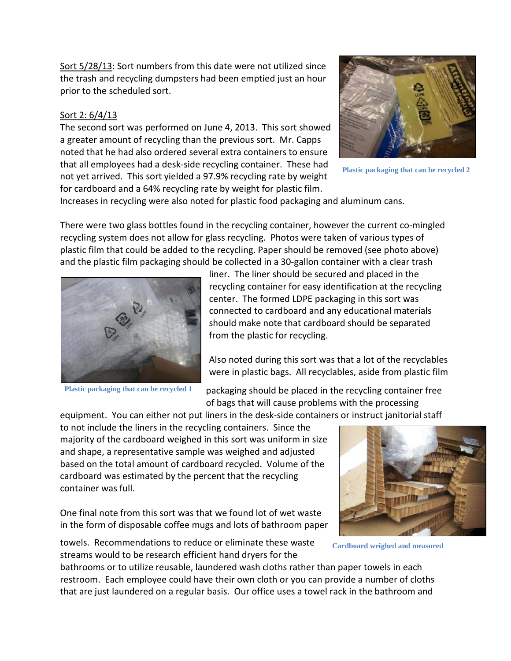Sort 5/28/13: Sort numbers from this date were not utilized since the trash and recycling dumpsters had been emptied just an hour prior to the scheduled sort.

# Sort 2: 6/4/13

The second sort was performed on June 4, 2013. This sort showed a greater amount of recycling than the previous sort. Mr. Capps noted that he had also ordered several extra containers to ensure that all employees had a desk-side recycling container. These had not yet arrived. This sort yielded a 97.9% recycling rate by weight for cardboard and a 64% recycling rate by weight for plastic film.



**Plastic packaging that can be recycled 2**

Increases in recycling were also noted for plastic food packaging and aluminum cans.

There were two glass bottles found in the recycling container, however the current co-mingled recycling system does not allow for glass recycling. Photos were taken of various types of plastic film that could be added to the recycling. Paper should be removed (see photo above) and the plastic film packaging should be collected in a 30-gallon container with a clear trash



**Plastic packaging that can be recycled 1**

liner. The liner should be secured and placed in the recycling container for easy identification at the recycling center. The formed LDPE packaging in this sort was connected to cardboard and any educational materials should make note that cardboard should be separated from the plastic for recycling.

Also noted during this sort was that a lot of the recyclables were in plastic bags. All recyclables, aside from plastic film

packaging should be placed in the recycling container free of bags that will cause problems with the processing

equipment. You can either not put liners in the desk-side containers or instruct janitorial staff to not include the liners in the recycling containers. Since the majority of the cardboard weighed in this sort was uniform in size and shape, a representative sample was weighed and adjusted based on the total amount of cardboard recycled. Volume of the cardboard was estimated by the percent that the recycling container was full.

One final note from this sort was that we found lot of wet waste in the form of disposable coffee mugs and lots of bathroom paper



**Cardboard weighed and measured** 

towels. Recommendations to reduce or eliminate these waste streams would to be research efficient hand dryers for the

bathrooms or to utilize reusable, laundered wash cloths rather than paper towels in each restroom. Each employee could have their own cloth or you can provide a number of cloths that are just laundered on a regular basis. Our office uses a towel rack in the bathroom and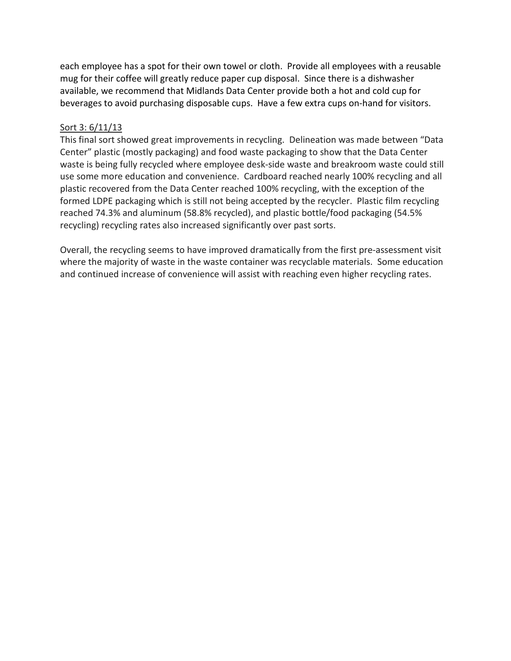each employee has a spot for their own towel or cloth. Provide all employees with a reusable mug for their coffee will greatly reduce paper cup disposal. Since there is a dishwasher available, we recommend that Midlands Data Center provide both a hot and cold cup for beverages to avoid purchasing disposable cups. Have a few extra cups on-hand for visitors.

# Sort 3: 6/11/13

This final sort showed great improvements in recycling. Delineation was made between "Data Center" plastic (mostly packaging) and food waste packaging to show that the Data Center waste is being fully recycled where employee desk-side waste and breakroom waste could still use some more education and convenience. Cardboard reached nearly 100% recycling and all plastic recovered from the Data Center reached 100% recycling, with the exception of the formed LDPE packaging which is still not being accepted by the recycler. Plastic film recycling reached 74.3% and aluminum (58.8% recycled), and plastic bottle/food packaging (54.5% recycling) recycling rates also increased significantly over past sorts.

Overall, the recycling seems to have improved dramatically from the first pre-assessment visit where the majority of waste in the waste container was recyclable materials. Some education and continued increase of convenience will assist with reaching even higher recycling rates.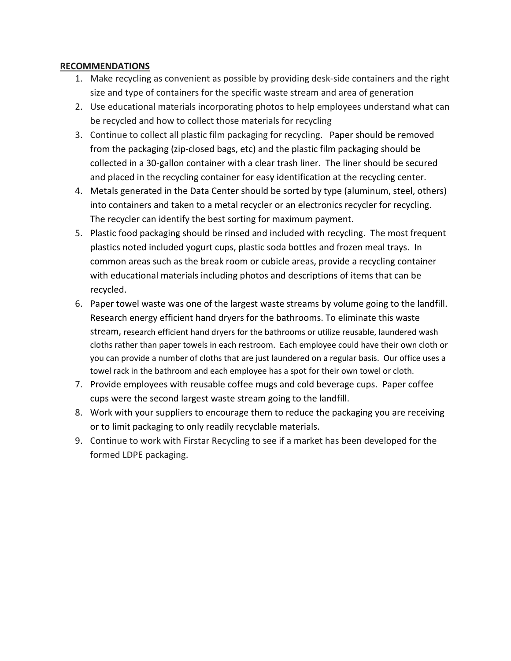### **RECOMMENDATIONS**

- 1. Make recycling as convenient as possible by providing desk-side containers and the right size and type of containers for the specific waste stream and area of generation
- 2. Use educational materials incorporating photos to help employees understand what can be recycled and how to collect those materials for recycling
- 3. Continue to collect all plastic film packaging for recycling. Paper should be removed from the packaging (zip-closed bags, etc) and the plastic film packaging should be collected in a 30-gallon container with a clear trash liner. The liner should be secured and placed in the recycling container for easy identification at the recycling center.
- 4. Metals generated in the Data Center should be sorted by type (aluminum, steel, others) into containers and taken to a metal recycler or an electronics recycler for recycling. The recycler can identify the best sorting for maximum payment.
- 5. Plastic food packaging should be rinsed and included with recycling. The most frequent plastics noted included yogurt cups, plastic soda bottles and frozen meal trays. In common areas such as the break room or cubicle areas, provide a recycling container with educational materials including photos and descriptions of items that can be recycled.
- 6. Paper towel waste was one of the largest waste streams by volume going to the landfill. Research energy efficient hand dryers for the bathrooms. To eliminate this waste stream, research efficient hand dryers for the bathrooms or utilize reusable, laundered wash cloths rather than paper towels in each restroom. Each employee could have their own cloth or you can provide a number of cloths that are just laundered on a regular basis. Our office uses a towel rack in the bathroom and each employee has a spot for their own towel or cloth.
- 7. Provide employees with reusable coffee mugs and cold beverage cups. Paper coffee cups were the second largest waste stream going to the landfill.
- 8. Work with your suppliers to encourage them to reduce the packaging you are receiving or to limit packaging to only readily recyclable materials.
- 9. Continue to work with Firstar Recycling to see if a market has been developed for the formed LDPE packaging.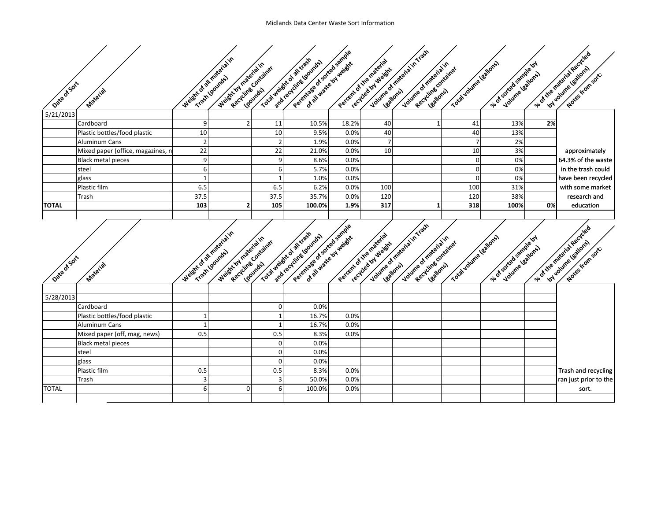|              |                                    |                           |                       |                       | Perentiage of sorted sample                                                      |                        |                                               | Volvme of material in Trash                                                |                         |                                             |    |                                                   |
|--------------|------------------------------------|---------------------------|-----------------------|-----------------------|----------------------------------------------------------------------------------|------------------------|-----------------------------------------------|----------------------------------------------------------------------------|-------------------------|---------------------------------------------|----|---------------------------------------------------|
|              |                                    | Weight of all material in |                       |                       | Total weight of al trash<br>and recycline younds                                 | of all waste by weight | Percent of the material                       |                                                                            | Total volume validres   |                                             |    | vio of the material recycled                      |
|              |                                    |                           | Weight by material in | Recycling Container   |                                                                                  |                        | recycled by Weight                            | Volume of materialin<br>Recycline contained                                |                         | sle of sorted sample or<br>Volume leations) |    | Notes from sort.                                  |
| Date of Sort |                                    |                           |                       |                       |                                                                                  |                        |                                               |                                                                            |                         |                                             |    |                                                   |
|              | Material                           |                           |                       |                       |                                                                                  |                        |                                               |                                                                            |                         |                                             |    |                                                   |
|              |                                    |                           |                       |                       |                                                                                  |                        |                                               |                                                                            |                         |                                             |    |                                                   |
| 5/21/2013    |                                    |                           |                       |                       |                                                                                  |                        |                                               |                                                                            |                         |                                             |    |                                                   |
|              | Cardboard                          | 9                         |                       | 11                    | 10.5%                                                                            | 18.2%                  | 40                                            |                                                                            | 41                      | 13%                                         | 2% |                                                   |
|              | Plastic bottles/food plastic       | 10                        |                       | 10                    | 9.5%                                                                             | 0.0%                   | 40                                            |                                                                            | 40                      | 13%                                         |    |                                                   |
|              | Aluminum Cans                      |                           |                       | $\overline{2}$        | 1.9%                                                                             | 0.0%                   |                                               |                                                                            |                         | 2%                                          |    |                                                   |
|              | Mixed paper (office, magazines, n  | 22                        |                       | 22                    | 21.0%                                                                            | 0.0%                   | 10                                            |                                                                            | 10                      | 3%                                          |    | approximately                                     |
|              | <b>Black metal pieces</b>          | 9                         |                       | 9                     | 8.6%                                                                             | 0.0%                   |                                               |                                                                            | C                       | 0%                                          |    | 64.3% of the waste                                |
|              | steel                              | 6                         |                       | 6                     | 5.7%                                                                             | 0.0%                   |                                               |                                                                            | 0                       | 0%                                          |    | in the trash could                                |
|              | glass                              |                           |                       |                       | 1.0%                                                                             | 0.0%                   |                                               |                                                                            |                         | 0%                                          |    | have been recycled                                |
|              | Plastic film                       | 6.5                       |                       | 6.5                   | 6.2%                                                                             | 0.0%                   | 100                                           |                                                                            | 100                     | 31%                                         |    | with some market                                  |
|              | Trash                              | 37.5                      |                       | 37.5                  | 35.7%                                                                            | 0.0%                   | 120                                           |                                                                            | 120                     | 38%                                         |    | research and                                      |
| <b>TOTAL</b> |                                    | 103                       |                       | 105                   | 100.0%                                                                           | 1.9%                   | 317                                           |                                                                            | 318                     | 100%                                        | 0% | education                                         |
|              |                                    |                           |                       |                       |                                                                                  |                        |                                               |                                                                            |                         |                                             |    |                                                   |
|              |                                    |                           |                       |                       |                                                                                  |                        |                                               |                                                                            |                         |                                             |    |                                                   |
|              |                                    |                           |                       |                       |                                                                                  |                        |                                               |                                                                            |                         |                                             |    |                                                   |
|              |                                    |                           |                       |                       |                                                                                  |                        |                                               |                                                                            |                         |                                             |    |                                                   |
|              |                                    |                           |                       |                       |                                                                                  |                        |                                               |                                                                            |                         |                                             |    |                                                   |
|              |                                    |                           |                       |                       |                                                                                  |                        |                                               |                                                                            |                         |                                             |    |                                                   |
|              |                                    |                           |                       |                       |                                                                                  |                        |                                               |                                                                            |                         |                                             |    |                                                   |
|              |                                    |                           |                       |                       |                                                                                  |                        |                                               |                                                                            |                         |                                             |    |                                                   |
| Date of Sort | Material                           | Weight of all material in | Weight by material in | Recycling Container   | Perent age of sorted sample<br>Total weight of all track<br>sndrecycline loounds | of all waste by weight | Percent of the material<br>recycled by Weight | Volume of material in Track<br>Volume of materialin<br>Recycling contained | Total volume (eatlores) | sle of sorted sample of<br>Volume leatons)  |    | side of the material recycled<br>Notes from sort. |
|              |                                    |                           |                       |                       |                                                                                  |                        |                                               |                                                                            |                         |                                             |    |                                                   |
| 5/28/2013    |                                    |                           |                       |                       |                                                                                  |                        |                                               |                                                                            |                         |                                             |    |                                                   |
|              | Cardboard                          |                           |                       | $\Omega$              | 0.0%                                                                             |                        |                                               |                                                                            |                         |                                             |    |                                                   |
|              | Plastic bottles/food plastic       |                           |                       |                       | 16.7%                                                                            | 0.0%                   |                                               |                                                                            |                         |                                             |    |                                                   |
|              | <b>Aluminum Cans</b>               |                           |                       |                       | 16.7%                                                                            | 0.0%                   |                                               |                                                                            |                         |                                             |    |                                                   |
|              | Mixed paper (off, mag, news)       | 0.5                       |                       | 0.5<br>$\overline{0}$ | 8.3%                                                                             | 0.0%                   |                                               |                                                                            |                         |                                             |    |                                                   |
|              | <b>Black metal pieces</b><br>steel |                           |                       | 0                     | 0.0%<br>0.0%                                                                     |                        |                                               |                                                                            |                         |                                             |    |                                                   |
|              |                                    |                           |                       | $\overline{0}$        | 0.0%                                                                             |                        |                                               |                                                                            |                         |                                             |    |                                                   |
|              | glass<br>Plastic film              | 0.5                       |                       | 0.5                   | 8.3%                                                                             | 0.0%                   |                                               |                                                                            |                         |                                             |    | Trash and recycling                               |
|              | Trash                              | 3                         |                       |                       | 50.0%                                                                            | 0.0%                   |                                               |                                                                            |                         |                                             |    | ran just prior to the                             |
| <b>TOTAL</b> |                                    | 61                        | $\Omega$              | 6                     | 100.0%                                                                           | 0.0%                   |                                               |                                                                            |                         |                                             |    | sort.                                             |